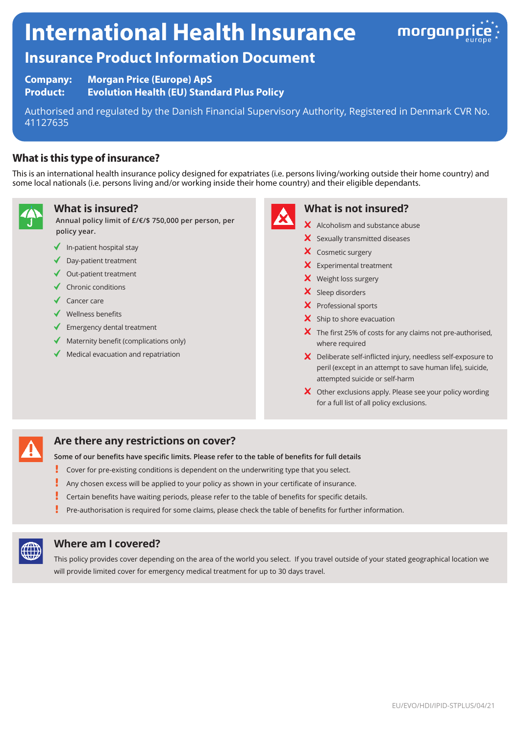# **International Health Insurance**



# **Insurance Product Information Document**

**Company: Morgan Price (Europe) ApS Product: Evolution Health (EU) Standard Plus Policy**

Authorised and regulated by the Danish Financial Supervisory Authority, Registered in Denmark CVR No. 41127635

### **What is this type of insurance?**

This is an international health insurance policy designed for expatriates (i.e. persons living/working outside their home country) and some local nationals (i.e. persons living and/or working inside their home country) and their eligible dependants.



#### **What is insured?**

**Annual policy limit of £/€/\$ 750,000 per person, per policy year.**

- $\blacklozenge$  In-patient hospital stay
- ◆ Day-patient treatment
- $\triangleleft$  Out-patient treatment
- $\checkmark$  Chronic conditions
- ◆ Cancer care
- $\checkmark$  Wellness benefits
- $\blacklozenge$  Emergency dental treatment
- Maternity benefit (complications only)
- $\blacklozenge$  Medical evacuation and repatriation



#### **What is not insured?**

- $\boldsymbol{\times}$  Alcoholism and substance abuse
- X Sexually transmitted diseases
- X Cosmetic surgery
- Experimental treatment
- X Weight loss surgery
- X Sleep disorders
- X Professional sports
- $\boldsymbol{\times}$  Ship to shore evacuation
- $\boldsymbol{\times}$  The first 25% of costs for any claims not pre-authorised, where required
- Deliberate self-inflicted injury, needless self-exposure to peril (except in an attempt to save human life), suicide, attempted suicide or self-harm
- X Other exclusions apply. Please see your policy wording for a full list of all policy exclusions.

#### **Are there any restrictions on cover?**

- **Some of our benefits have specific limits. Please refer to the table of benefits for full details**
- ŗ Cover for pre-existing conditions is dependent on the underwriting type that you select.
- Ţ Any chosen excess will be applied to your policy as shown in your certificate of insurance.
- Certain benefits have waiting periods, please refer to the table of benefits for specific details.
- Pre-authorisation is required for some claims, please check the table of benefits for further information.



#### **Where am I covered?**

This policy provides cover depending on the area of the world you select. If you travel outside of your stated geographical location we will provide limited cover for emergency medical treatment for up to 30 days travel.